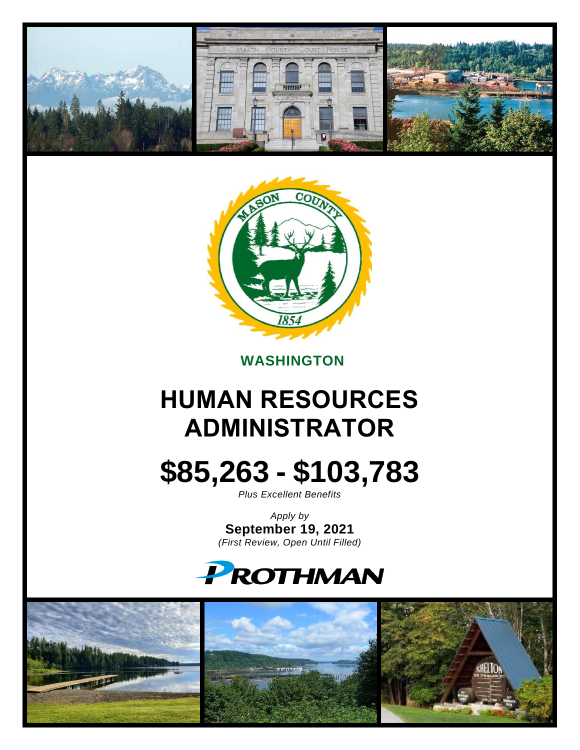



## **WASHINGTON**

# **HUMAN RESOURCES ADMINISTRATOR**

# **\$85,263 - \$103,783**

*Plus Excellent Benefits*

*Apply by* **September 19, 2021** *(First Review, Open Until Filled)*

# **PROTHMAN**

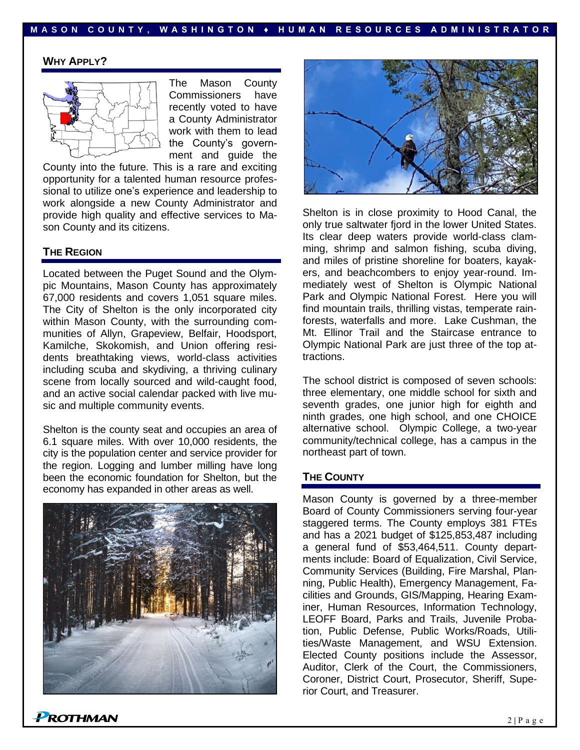#### **M A S O N C O U N T Y , W A S H I N G T O N ♦ H U M A N R E S O U R C E S A D M I N I S T R A T O R**

#### **WHY APPLY?**



The Mason County Commissioners have recently voted to have a County Administrator work with them to lead the County's government and guide the

County into the future. This is a rare and exciting opportunity for a talented human resource professional to utilize one's experience and leadership to work alongside a new County Administrator and provide high quality and effective services to Mason County and its citizens.

#### **THE REGION**

Located between the Puget Sound and the Olympic Mountains, Mason County has approximately 67,000 residents and covers 1,051 square miles. The City of Shelton is the only incorporated city within Mason County, with the surrounding communities of Allyn, Grapeview, Belfair, Hoodsport, Kamilche, Skokomish, and Union offering residents breathtaking views, world-class activities including scuba and skydiving, a thriving culinary scene from locally sourced and wild-caught food, and an active social calendar packed with live music and multiple community events.

Shelton is the county seat and occupies an area of 6.1 square miles. With over 10,000 residents, the city is the population center and service provider for the region. Logging and lumber milling have long been the economic foundation for Shelton, but the economy has expanded in other areas as well.





Shelton is in close proximity to Hood Canal, the only true saltwater fjord in the lower United States. Its clear deep waters provide world-class clamming, shrimp and salmon fishing, scuba diving, and miles of pristine shoreline for boaters, kayakers, and beachcombers to enjoy year-round. Immediately west of Shelton is Olympic National Park and Olympic National Forest. Here you will find mountain trails, thrilling vistas, temperate rainforests, waterfalls and more. Lake Cushman, the Mt. Ellinor Trail and the Staircase entrance to Olympic National Park are just three of the top attractions.

The school district is composed of seven schools: three elementary, one middle school for sixth and seventh grades, one junior high for eighth and ninth grades, one high school, and one CHOICE alternative school. Olympic College, a two-year community/technical college, has a campus in the northeast part of town.

#### **THE COUNTY**

Mason County is governed by a three-member Board of County Commissioners serving four-year staggered terms. The County employs 381 FTEs and has a 2021 budget of \$125,853,487 including a general fund of \$53,464,511. County departments include: Board of Equalization, Civil Service, Community Services (Building, Fire Marshal, Planning, Public Health), Emergency Management, Facilities and Grounds, GIS/Mapping, Hearing Examiner, Human Resources, Information Technology, LEOFF Board, Parks and Trails, Juvenile Probation, Public Defense, Public Works/Roads, Utilities/Waste Management, and WSU Extension. Elected County positions include the Assessor, Auditor, Clerk of the Court, the Commissioners, Coroner, District Court, Prosecutor, Sheriff, Superior Court, and Treasurer.

 $P$ ROTHMAN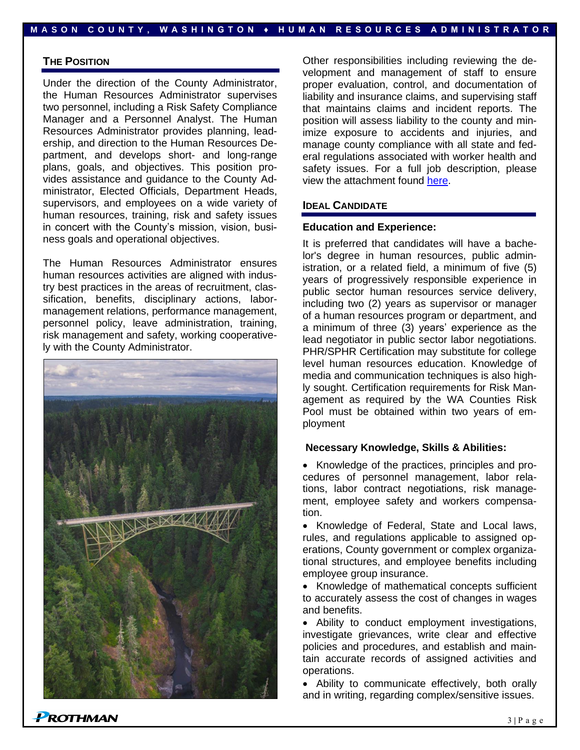#### **THE POSITION**

Under the direction of the County Administrator, the Human Resources Administrator supervises two personnel, including a Risk Safety Compliance Manager and a Personnel Analyst. The Human Resources Administrator provides planning, leadership, and direction to the Human Resources Department, and develops short- and long-range plans, goals, and objectives. This position provides assistance and guidance to the County Administrator, Elected Officials, Department Heads, supervisors, and employees on a wide variety of human resources, training, risk and safety issues in concert with the County's mission, vision, business goals and operational objectives.

The Human Resources Administrator ensures human resources activities are aligned with industry best practices in the areas of recruitment, classification, benefits, disciplinary actions, labormanagement relations, performance management, personnel policy, leave administration, training, risk management and safety, working cooperatively with the County Administrator.



Other responsibilities including reviewing the development and management of staff to ensure proper evaluation, control, and documentation of liability and insurance claims, and supervising staff that maintains claims and incident reports. The position will assess liability to the county and minimize exposure to accidents and injuries, and manage county compliance with all state and federal regulations associated with worker health and safety issues. For a full job description, please view the attachment found [here.](https://prothman.com/JobFiles/2894/Human%20Resource%20Administrator%20Final.pdf)

#### **IDEAL CANDIDATE**

#### **Education and Experience:**

It is preferred that candidates will have a bachelor's degree in human resources, public administration, or a related field, a minimum of five (5) years of progressively responsible experience in public sector human resources service delivery, including two (2) years as supervisor or manager of a human resources program or department, and a minimum of three (3) years' experience as the lead negotiator in public sector labor negotiations. PHR/SPHR Certification may substitute for college level human resources education. Knowledge of media and communication techniques is also highly sought. Certification requirements for Risk Management as required by the WA Counties Risk Pool must be obtained within two years of employment

#### **Necessary Knowledge, Skills & Abilities:**

• Knowledge of the practices, principles and procedures of personnel management, labor relations, labor contract negotiations, risk management, employee safety and workers compensation.

• Knowledge of Federal, State and Local laws, rules, and regulations applicable to assigned operations, County government or complex organizational structures, and employee benefits including employee group insurance.

• Knowledge of mathematical concepts sufficient to accurately assess the cost of changes in wages and benefits.

• Ability to conduct employment investigations, investigate grievances, write clear and effective policies and procedures, and establish and maintain accurate records of assigned activities and operations.

• Ability to communicate effectively, both orally and in writing, regarding complex/sensitive issues.